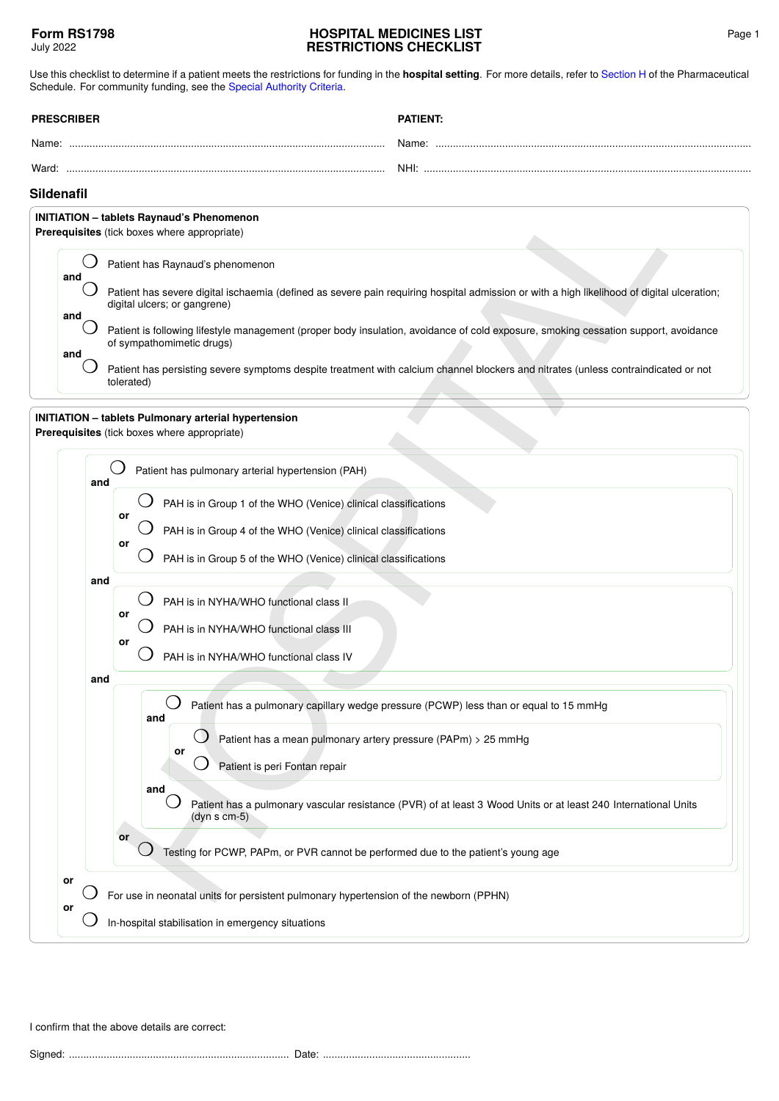## **HOSPITAL MEDICINES LIST RESTRICTIONS CHECKLIST**

Use this checklist to determine if a patient meets the restrictions for funding in the **hospital setting**. For more details, refer to [Section H](https://pharmac.govt.nz/section-h/) of the Pharmaceutical Schedule. For community funding, see the [Special Authority Criteria](https://pharmac.govt.nz/SAForms/).

| <b>PRESCRIBER</b> |  | <b>PATIENT:</b> |
|-------------------|--|-----------------|
| Name:             |  | Name:           |
| Ward <sup>.</sup> |  | NHI:            |

## **Sildenafil**

| <b>INITIATION</b> - tablets Raynaud's Phenomenon<br><b>Prerequisites</b> (tick boxes where appropriate) |     |                                                                                                                                                                            |  |  |
|---------------------------------------------------------------------------------------------------------|-----|----------------------------------------------------------------------------------------------------------------------------------------------------------------------------|--|--|
|                                                                                                         | and | Patient has Raynaud's phenomenon                                                                                                                                           |  |  |
|                                                                                                         |     | Patient has severe digital ischaemia (defined as severe pain requiring hospital admission or with a high likelihood of digital ulceration;<br>digital ulcers; or gangrene) |  |  |
|                                                                                                         | and | Patient is following lifestyle management (proper body insulation, avoidance of cold exposure, smoking cessation support, avoidance<br>of sympathomimetic drugs)           |  |  |
|                                                                                                         | and | Patient has persisting severe symptoms despite treatment with calcium channel blockers and nitrates (unless contraindicated or not<br>tolerated)                           |  |  |

| Sildenafil<br><b>INITIATION</b> - tablets Raynaud's Phenomenon                                                                                         |                                                                                                                                                                                                                |  |  |  |
|--------------------------------------------------------------------------------------------------------------------------------------------------------|----------------------------------------------------------------------------------------------------------------------------------------------------------------------------------------------------------------|--|--|--|
|                                                                                                                                                        |                                                                                                                                                                                                                |  |  |  |
| and                                                                                                                                                    | Patient has Raynaud's phenomenon                                                                                                                                                                               |  |  |  |
| and                                                                                                                                                    | Patient has severe digital ischaemia (defined as severe pain requiring hospital admission or with a high likelihood of digital ulceration;<br>digital ulcers; or gangrene)                                     |  |  |  |
| and                                                                                                                                                    | Patient is following lifestyle management (proper body insulation, avoidance of cold exposure, smoking cessation support, avoidance<br>of sympathomimetic drugs)                                               |  |  |  |
|                                                                                                                                                        | Patient has persisting severe symptoms despite treatment with calcium channel blockers and nitrates (unless contraindicated or not<br>tolerated)                                                               |  |  |  |
|                                                                                                                                                        | <b>INITIATION</b> - tablets Pulmonary arterial hypertension<br>Prerequisites (tick boxes where appropriate)                                                                                                    |  |  |  |
|                                                                                                                                                        | Patient has pulmonary arterial hypertension (PAH)<br>and                                                                                                                                                       |  |  |  |
|                                                                                                                                                        | PAH is in Group 1 of the WHO (Venice) clinical classifications<br>or<br>PAH is in Group 4 of the WHO (Venice) clinical classifications<br>or<br>PAH is in Group 5 of the WHO (Venice) clinical classifications |  |  |  |
|                                                                                                                                                        | and<br>PAH is in NYHA/WHO functional class II<br>or<br>PAH is in NYHA/WHO functional class III<br>or<br>PAH is in NYHA/WHO functional class IV                                                                 |  |  |  |
|                                                                                                                                                        | and                                                                                                                                                                                                            |  |  |  |
|                                                                                                                                                        | Patient has a pulmonary capillary wedge pressure (PCWP) less than or equal to 15 mmHg<br>and                                                                                                                   |  |  |  |
|                                                                                                                                                        | Patient has a mean pulmonary artery pressure (PAPm) > 25 mmHg<br>or                                                                                                                                            |  |  |  |
|                                                                                                                                                        | Patient is peri Fontan repair                                                                                                                                                                                  |  |  |  |
|                                                                                                                                                        | and<br>Patient has a pulmonary vascular resistance (PVR) of at least 3 Wood Units or at least 240 International Units<br>$(dyns cm-5)$                                                                         |  |  |  |
|                                                                                                                                                        | or<br>Testing for PCWP, PAPm, or PVR cannot be performed due to the patient's young age                                                                                                                        |  |  |  |
| or<br>For use in neonatal units for persistent pulmonary hypertension of the newborn (PPHN)<br>or<br>In-hospital stabilisation in emergency situations |                                                                                                                                                                                                                |  |  |  |
|                                                                                                                                                        |                                                                                                                                                                                                                |  |  |  |